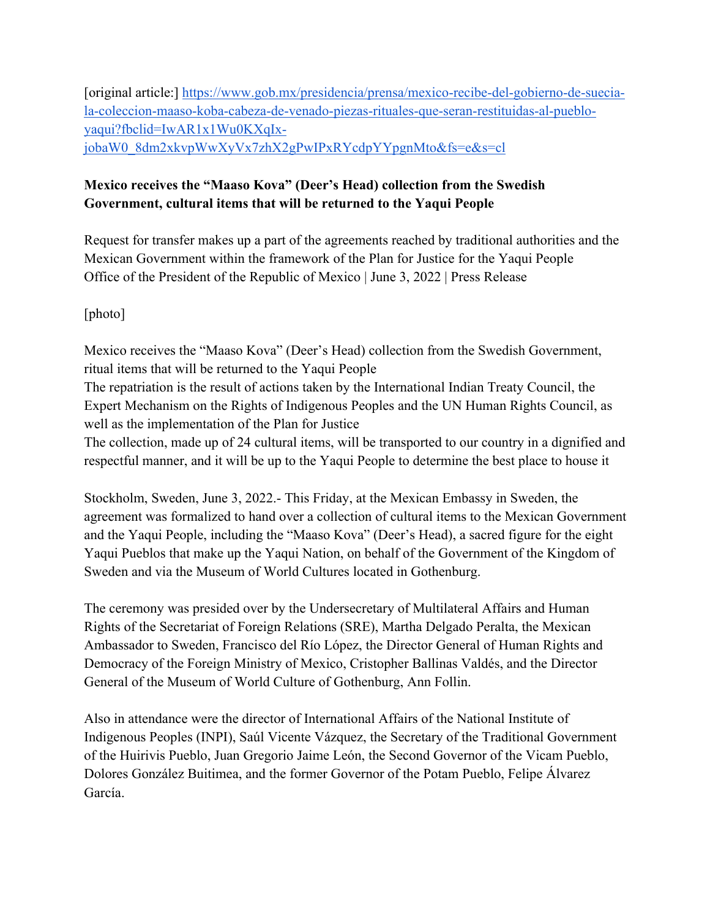[original article:] https://www.gob.mx/presidencia/prensa/mexico-recibe-del-gobierno-de-sueciala-coleccion-maaso-koba-cabeza-de-venado-piezas-rituales-que-seran-restituidas-al-puebloyaqui?fbclid=IwAR1x1Wu0KXqIxjobaW0\_8dm2xkvpWwXyVx7zhX2gPwIPxRYcdpYYpgnMto&fs=e&s=cl

## **Mexico receives the "Maaso Kova" (Deer's Head) collection from the Swedish Government, cultural items that will be returned to the Yaqui People**

Request for transfer makes up a part of the agreements reached by traditional authorities and the Mexican Government within the framework of the Plan for Justice for the Yaqui People Office of the President of the Republic of Mexico | June 3, 2022 | Press Release

## [photo]

Mexico receives the "Maaso Kova" (Deer's Head) collection from the Swedish Government, ritual items that will be returned to the Yaqui People

The repatriation is the result of actions taken by the International Indian Treaty Council, the Expert Mechanism on the Rights of Indigenous Peoples and the UN Human Rights Council, as well as the implementation of the Plan for Justice

The collection, made up of 24 cultural items, will be transported to our country in a dignified and respectful manner, and it will be up to the Yaqui People to determine the best place to house it

Stockholm, Sweden, June 3, 2022.- This Friday, at the Mexican Embassy in Sweden, the agreement was formalized to hand over a collection of cultural items to the Mexican Government and the Yaqui People, including the "Maaso Kova" (Deer's Head), a sacred figure for the eight Yaqui Pueblos that make up the Yaqui Nation, on behalf of the Government of the Kingdom of Sweden and via the Museum of World Cultures located in Gothenburg.

The ceremony was presided over by the Undersecretary of Multilateral Affairs and Human Rights of the Secretariat of Foreign Relations (SRE), Martha Delgado Peralta, the Mexican Ambassador to Sweden, Francisco del Río López, the Director General of Human Rights and Democracy of the Foreign Ministry of Mexico, Cristopher Ballinas Valdés, and the Director General of the Museum of World Culture of Gothenburg, Ann Follin.

Also in attendance were the director of International Affairs of the National Institute of Indigenous Peoples (INPI), Saúl Vicente Vázquez, the Secretary of the Traditional Government of the Huirivis Pueblo, Juan Gregorio Jaime León, the Second Governor of the Vicam Pueblo, Dolores González Buitimea, and the former Governor of the Potam Pueblo, Felipe Álvarez García.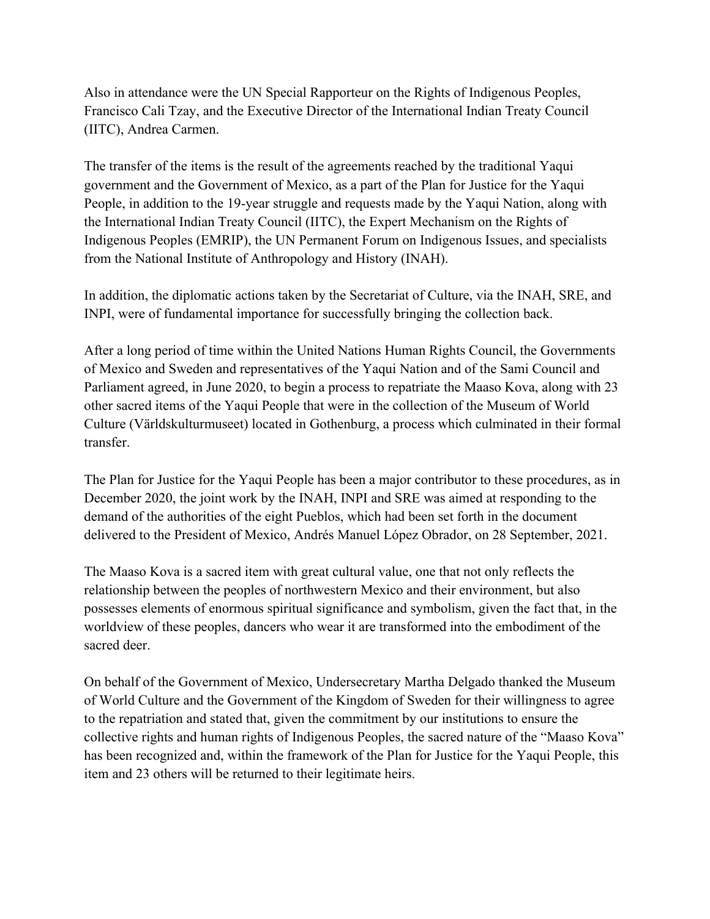Also in attendance were the UN Special Rapporteur on the Rights of Indigenous Peoples, Francisco Cali Tzay, and the Executive Director of the International Indian Treaty Council (IITC), Andrea Carmen.

The transfer of the items is the result of the agreements reached by the traditional Yaqui government and the Government of Mexico, as a part of the Plan for Justice for the Yaqui People, in addition to the 19-year struggle and requests made by the Yaqui Nation, along with the International Indian Treaty Council (IITC), the Expert Mechanism on the Rights of Indigenous Peoples (EMRIP), the UN Permanent Forum on Indigenous Issues, and specialists from the National Institute of Anthropology and History (INAH).

In addition, the diplomatic actions taken by the Secretariat of Culture, via the INAH, SRE, and INPI, were of fundamental importance for successfully bringing the collection back.

After a long period of time within the United Nations Human Rights Council, the Governments of Mexico and Sweden and representatives of the Yaqui Nation and of the Sami Council and Parliament agreed, in June 2020, to begin a process to repatriate the Maaso Kova, along with 23 other sacred items of the Yaqui People that were in the collection of the Museum of World Culture (Världskulturmuseet) located in Gothenburg, a process which culminated in their formal transfer.

The Plan for Justice for the Yaqui People has been a major contributor to these procedures, as in December 2020, the joint work by the INAH, INPI and SRE was aimed at responding to the demand of the authorities of the eight Pueblos, which had been set forth in the document delivered to the President of Mexico, Andrés Manuel López Obrador, on 28 September, 2021.

The Maaso Kova is a sacred item with great cultural value, one that not only reflects the relationship between the peoples of northwestern Mexico and their environment, but also possesses elements of enormous spiritual significance and symbolism, given the fact that, in the worldview of these peoples, dancers who wear it are transformed into the embodiment of the sacred deer.

On behalf of the Government of Mexico, Undersecretary Martha Delgado thanked the Museum of World Culture and the Government of the Kingdom of Sweden for their willingness to agree to the repatriation and stated that, given the commitment by our institutions to ensure the collective rights and human rights of Indigenous Peoples, the sacred nature of the "Maaso Kova" has been recognized and, within the framework of the Plan for Justice for the Yaqui People, this item and 23 others will be returned to their legitimate heirs.